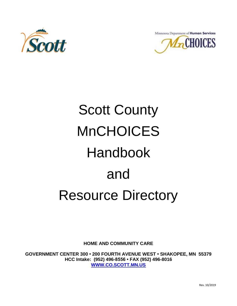



# Scott County MnCHOICES Handbook and Resource Directory

**HOME AND COMMUNITY CARE**

**GOVERNMENT CENTER 300 • 200 FOURTH AVENUE WEST • SHAKOPEE, MN 55379 HCC Intake: (952) 496-8556 • FAX (952) 496-8016 [WWW.CO.SCOTT.MN.US](http://www.co.scott.mn.us/)**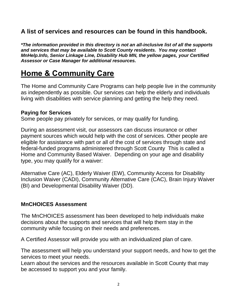# **A list of services and resources can be found in this handbook.**

*\*The information provided in this directory is not an all-inclusive list of all the supports and services that may be available to Scott County residents. You may contact MnHelp.Info, Senior Linkage Line, Disability Hub MN, the yellow pages, your Certified Assessor or Case Manager for additional resources.*

# **Home & Community Care**

The Home and Community Care Programs can help people live in the community as independently as possible. Our services can help the elderly and individuals living with disabilities with service planning and getting the help they need.

#### **Paying for Services**

Some people pay privately for services, or may qualify for funding.

During an assessment visit, our assessors can discuss insurance or other payment sources which would help with the cost of services. Other people are eligible for assistance with part or all of the cost of services through state and federal-funded programs administered through Scott County This is called a Home and Community Based Waiver. Depending on your age and disability type, you may qualify for a waiver:

Alternative Care (AC), Elderly Waiver (EW), Community Access for Disability Inclusion Waiver (CADI), Community Alternative Care (CAC), Brain Injury Waiver (BI) and Developmental Disability Waiver (DD).

### **MnCHOICES Assessment**

The MnCHOICES assessment has been developed to help individuals make decisions about the supports and services that will help them stay in the community while focusing on their needs and preferences.

A Certified Assessor will provide you with an individualized plan of care.

The assessment will help you understand your support needs, and how to get the services to meet your needs.

Learn about the services and the resources available in Scott County that may be accessed to support you and your family.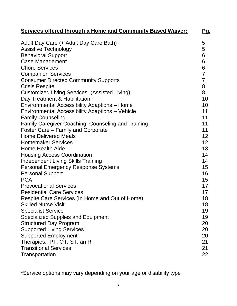| <b>Services offered through a Home and Community Based Waiver:</b> | <u>Pg.</u>      |
|--------------------------------------------------------------------|-----------------|
| Adult Day Care (+ Adult Day Care Bath)                             | 5               |
| <b>Assistive Technology</b>                                        | 5               |
| <b>Behavioral Support</b>                                          | $6\phantom{1}6$ |
| <b>Case Management</b>                                             | 6               |
| <b>Chore Services</b>                                              | $\overline{6}$  |
| <b>Companion Services</b>                                          | $\overline{7}$  |
| <b>Consumer Directed Community Supports</b>                        | $\overline{7}$  |
| <b>Crisis Respite</b>                                              | 8               |
| <b>Customized Living Services (Assisted Living)</b>                | 8               |
| Day Treatment & Habilitation                                       | 10              |
| Environmental Accessibility Adaptions - Home                       | 10              |
| Environmental Accessibility Adaptions - Vehicle                    | 11              |
| <b>Family Counseling</b>                                           | 11              |
| <b>Family Caregiver Coaching, Counseling and Training</b>          | 11              |
| Foster Care – Family and Corporate                                 | 11              |
| <b>Home Delivered Meals</b>                                        | 12              |
| <b>Homemaker Services</b>                                          | 12              |
| <b>Home Health Aide</b>                                            | 13              |
| <b>Housing Access Coordination</b>                                 | 14              |
| <b>Independent Living Skills Training</b>                          | 14              |
| <b>Personal Emergency Response Systems</b>                         | 15              |
| <b>Personal Support</b>                                            | 16              |
| <b>PCA</b>                                                         | 15              |
| <b>Prevocational Services</b>                                      | 17              |
| <b>Residential Care Services</b>                                   | 17              |
| Respite Care Services (In Home and Out of Home)                    | 18              |
| <b>Skilled Nurse Visit</b>                                         | 18              |
| <b>Specialist Service</b>                                          | 19              |
| <b>Specialized Supplies and Equipment</b>                          | 19              |
| <b>Structured Day Program</b>                                      | 20              |
| <b>Supported Living Services</b>                                   | 20              |
| <b>Supported Employment</b>                                        | 20              |
| Therapies: PT, OT, ST, an RT                                       | 21              |
| <b>Transitional Services</b>                                       | 21              |
| Transportation                                                     | 22              |

\*Service options may vary depending on your age or disability type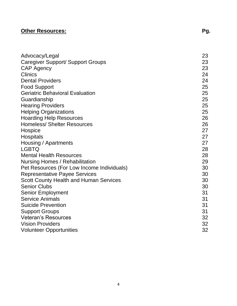# **Other Resources: Pg.**

| Advocacy/Legal                                | 23 |
|-----------------------------------------------|----|
| Caregiver Support/ Support Groups             | 23 |
| <b>CAP Agency</b>                             | 23 |
| <b>Clinics</b>                                | 24 |
| <b>Dental Providers</b>                       | 24 |
| <b>Food Support</b>                           | 25 |
| <b>Geriatric Behavioral Evaluation</b>        | 25 |
| Guardianship                                  | 25 |
| <b>Hearing Providers</b>                      | 25 |
| <b>Helping Organizations</b>                  | 25 |
| <b>Hoarding Help Resources</b>                | 26 |
| <b>Homeless/ Shelter Resources</b>            | 26 |
| Hospice                                       | 27 |
| <b>Hospitals</b>                              | 27 |
| Housing / Apartments                          | 27 |
| <b>LGBTQ</b>                                  | 28 |
| <b>Mental Health Resources</b>                | 28 |
| Nursing Homes / Rehabilitation                | 29 |
| Pet Resources (For Low Income Individuals)    | 30 |
| <b>Representative Payee Services</b>          | 30 |
| <b>Scott County Health and Human Services</b> | 30 |
| <b>Senior Clubs</b>                           | 30 |
| Senior Employment                             | 31 |
| <b>Service Animals</b>                        | 31 |
| <b>Suicide Prevention</b>                     | 31 |
| <b>Support Groups</b>                         | 31 |
| <b>Veteran's Resources</b>                    | 32 |
| <b>Vision Providers</b>                       | 32 |
| <b>Volunteer Opportunities</b>                | 32 |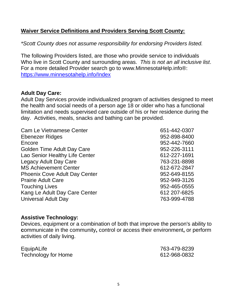#### **Waiver Service Definitions and Providers Serving Scott County:**

*\*Scott County does not assume responsibility for endorsing Providers listed.*

The following Providers listed, are those who provide service to individuals Who live in Scott County and surrounding areas. *This is not an all inclusive list*. For a more detailed Provider search go to www.MinnesotaHelp.info®: <https://www.minnesotahelp.info/Index>

#### **Adult Day Care:**

Adult Day Services provide individualized program of activities designed to meet the health and social needs of a person age 18 or older who has a functional limitation and needs supervised care outside of his or her residence during the day. Activities, meals, snacks and bathing can be provided.

| <b>Cam Le Vietnamese Center</b>      | 651-442-0307 |
|--------------------------------------|--------------|
| Ebenezer Ridges                      | 952-898-8400 |
| Encore                               | 952-442-7660 |
| <b>Golden Time Adult Day Care</b>    | 952-226-3111 |
| Lao Senior Healthy Life Center       | 612-227-1691 |
| <b>Legacy Adult Day Care</b>         | 763-231-8898 |
| <b>MS Achievement Center</b>         | 612-672-2847 |
| <b>Phoenix Cove Adult Day Center</b> | 952-649-8155 |
| <b>Prairie Adult Care</b>            | 952-949-3126 |
| <b>Touching Lives</b>                | 952-465-0555 |
| Kang Le Adult Day Care Center        | 612 207-6825 |
| <b>Universal Adult Day</b>           | 763-999-4788 |
|                                      |              |

#### **Assistive Technology:**

Devices, equipment or a combination of both that improve the person's ability to **c**ommunicate in the community**,** control or access their environment**,** or perform activities of daily living.

| EquipALife          | 763-479-8239 |
|---------------------|--------------|
| Technology for Home | 612-968-0832 |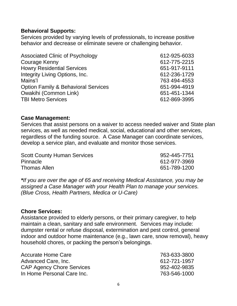#### **Behavioral Supports:**

Services provided by varying levels of professionals, to increase positive behavior and decrease or eliminate severe or challenging behavior.

| <b>Associated Clinic of Psychology</b>         | 612-925-6033 |
|------------------------------------------------|--------------|
| <b>Courage Kenny</b>                           | 612-775-2215 |
| <b>Howry Residential Services</b>              | 651-917-9111 |
| Integrity Living Options, Inc.                 | 612-236-1729 |
| Mains'l                                        | 763 494-4553 |
| <b>Option Family &amp; Behavioral Services</b> | 651-994-4919 |
| Owakihi (Common Link)                          | 651-451-1344 |
| <b>TBI Metro Services</b>                      | 612-869-3995 |
|                                                |              |

#### **Case Management:**

Services that assist persons on a waiver to access needed waiver and State plan services, as well as needed medical, social, educational and other services, regardless of the funding source. A Case Manager can coordinate services, develop a service plan, and evaluate and monitor those services.

| <b>Scott County Human Services</b> | 952-445-7751 |
|------------------------------------|--------------|
| <b>Pinnacle</b>                    | 612-977-3969 |
| <b>Thomas Allen</b>                | 651-789-1200 |

*\*If you are over the age of 65 and receiving Medical Assistance, you may be assigned a Case Manager with your Health Plan to manage your services. (Blue Cross, Health Partners, Medica or U-Care)*

#### **Chore Services:**

Assistance provided to elderly persons, or their primary caregiver, to help maintain a clean, sanitary and safe environment. Services may include: dumpster rental or refuse disposal, extermination and pest control, general indoor and outdoor home maintenance (e.g., lawn care, snow removal), heavy household chores, or packing the person's belongings.

| <b>Accurate Home Care</b>        | 763-633-3800 |
|----------------------------------|--------------|
| Advanced Care, Inc.              | 612-721-1957 |
| <b>CAP Agency Chore Services</b> | 952-402-9835 |
| In Home Personal Care Inc.       | 763-546-1000 |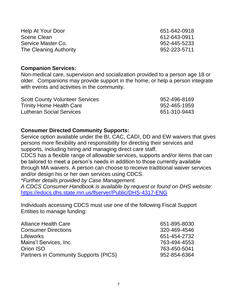| Help At Your Door      | 651-642-0918 |
|------------------------|--------------|
| Scene Clean            | 612-643-0911 |
| Service Master Co.     | 952-445-5233 |
| The Cleaning Authority | 952-223-5711 |

#### **Companion Services:**

Non-medical care, supervision and socialization provided to a person age 18 or older. Companions may provide support in the home, or help a person integrate with events and activities in the community.

| <b>Scott County Volunteer Services</b> | 952-496-8169 |
|----------------------------------------|--------------|
| <b>Trinity Home Health Care</b>        | 952-465-1959 |
| <b>Lutheran Social Services</b>        | 651-310-9443 |

#### **Consumer Directed Community Supports:**

Service option available under the BI, CAC, CADI, DD and EW waivers that gives persons more flexibility and responsibility for directing their services and supports, including hiring and managing direct care staff.

CDCS has a flexible range of allowable services, supports and/or items that can be tailored to meet a person's needs in addition to those currently available through MA waivers. A person can choose to receive traditional waiver services and/or design his or her own services using CDCS.

*\*Further details provided by Case Management.*

*A CDCS Consumer Handbook is available by request or found on DHS website*: <https://edocs.dhs.state.mn.us/lfserver/Public/DHS-4317-ENG>

Individuals accessing CDCS must use one of the following Fiscal Support Entities to manage funding:

| 651-895-8030 |
|--------------|
| 320-469-4546 |
| 651-454-2732 |
| 763-494-4553 |
| 763-450-5041 |
| 952-854-6364 |
|              |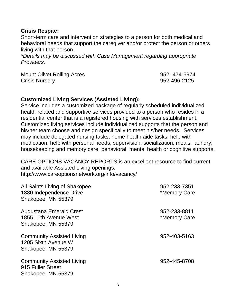#### **Crisis Respite:**

Short-term care and intervention strategies to a person for both medical and behavioral needs that support the caregiver and/or protect the person or others living with that person.

*\*Details may be discussed with Case Management regarding appropriate Providers.*

Mount Olivet Rolling Acres 1952-174-5974 Crisis Nursery 952-496-2125

#### **Customized Living Services (Assisted Living):**

Service includes a customized package of regularly scheduled individualized health-related and supportive services provided to a person who resides in a residential center that is a registered housing with services establishment. Customized living services include individualized supports that the person and his/her team choose and design specifically to meet his/her needs. Services may include delegated nursing tasks, home health aide tasks, help with medication, help with personal needs, supervision, socialization, meals, laundry, housekeeping and memory care, behavioral, mental health or cognitive supports.

CARE OPTIONS VACANCY REPORTS is an excellent resource to find current and available Assisted Living openings. http://www.careoptionsnetwork.org/info/vacancy/

| All Saints Living of Shakopee<br>1880 Independence Drive<br>Shakopee, MN 55379 | 952-233-7351<br>*Memory Care |
|--------------------------------------------------------------------------------|------------------------------|
| <b>Augustana Emerald Crest</b><br>1855 10th Avenue West<br>Shakopee, MN 55379  | 952-233-8811<br>*Memory Care |
| <b>Community Assisted Living</b><br>1205 Sixth Avenue W<br>Shakopee, MN 55379  | 952-403-5163                 |
| <b>Community Assisted Living</b><br>915 Fuller Street<br>Shakopee, MN 55379    | 952-445-8708                 |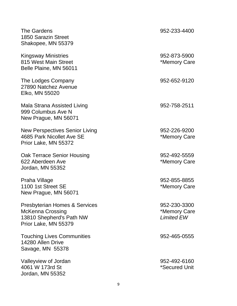| The Gardens<br>1850 Sarazin Street<br>Shakopee, MN 55379                                                                | 952-233-4400                                      |
|-------------------------------------------------------------------------------------------------------------------------|---------------------------------------------------|
| <b>Kingsway Ministries</b><br>815 West Main Street<br>Belle Plaine, MN 56011                                            | 952-873-5900<br>*Memory Care                      |
| The Lodges Company<br>27890 Natchez Avenue<br>Elko, MN 55020                                                            | 952-652-9120                                      |
| Mala Strana Assisted Living<br>999 Columbus Ave N<br>New Prague, MN 56071                                               | 952-758-2511                                      |
| New Perspectives Senior Living<br>4685 Park Nicollet Ave SE<br>Prior Lake, MN 55372                                     | 952-226-9200<br>*Memory Care                      |
| Oak Terrace Senior Housing<br>622 Aberdeen Ave<br>Jordan, MN 55352                                                      | 952-492-5559<br>*Memory Care                      |
| Praha Village<br>1100 1st Street SE<br>New Prague, MN 56071                                                             | 952-855-8855<br>*Memory Care                      |
| <b>Presbyterian Homes &amp; Services</b><br><b>McKenna Crossing</b><br>13810 Shepherd's Path NW<br>Prior Lake, MN 55379 | 952-230-3300<br>*Memory Care<br><b>Limited EW</b> |
| <b>Touching Lives Communities</b><br>14280 Allen Drive<br>Savage, MN 55378                                              | 952-465-0555                                      |
| Valleyview of Jordan<br>4061 W 173rd St<br>Jordan, MN 55352                                                             | 952-492-6160<br>*Secured Unit                     |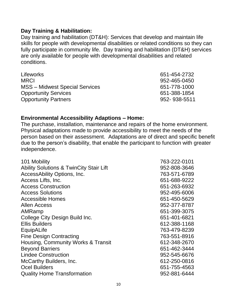#### **Day Training & Habilitation:**

Day training and habilitation (DT&H): Services that develop and maintain life skills for people with developmental disabilities or related conditions so they can fully participate in community life. Day training and habilitation (DT&H) services are only available for people with developmental disabilities and related conditions.

| <b>Lifeworks</b>                      | 651-454-2732 |
|---------------------------------------|--------------|
| <b>MRCI</b>                           | 952-465-0450 |
| <b>MSS</b> – Midwest Special Services | 651-778-1000 |
| <b>Opportunity Services</b>           | 651-388-1854 |
| <b>Opportunity Partners</b>           | 952-938-5511 |

#### **Environmental Accessibility Adaptions – Home:**

The purchase, installation, maintenance and repairs of the home environment. Physical adaptations made to provide accessibility to meet the needs of the person based on their assessment. Adaptations are of direct and specific benefit due to the person's disability, that enable the participant to function with greater independence.

| 101 Mobility                                       | 763-222-0101 |
|----------------------------------------------------|--------------|
| <b>Ability Solutions &amp; TwinCity Stair Lift</b> | 952-808-3646 |
| AccessAbility Options, Inc.                        | 763-571-6789 |
| Access Lifts, Inc.                                 | 651-688-9222 |
| <b>Access Construction</b>                         | 651-263-6932 |
| <b>Access Solutions</b>                            | 952-495-6006 |
| <b>Accessible Homes</b>                            | 651-450-5629 |
| <b>Allen Access</b>                                | 952-377-8787 |
| AMRamp                                             | 651-399-3075 |
| College City Design Build Inc.                     | 651-401-6821 |
| <b>Ellis Builders</b>                              | 612-388-1168 |
| EquipALife                                         | 763-479-8239 |
| <b>Fine Design Contracting</b>                     | 763-551-8916 |
| Housing, Community Works & Transit                 | 612-348-2670 |
| <b>Beyond Barriers</b>                             | 651-462-3444 |
| <b>Lindee Construction</b>                         | 952-545-6676 |
| <b>McCarthy Builders, Inc.</b>                     | 612-250-0816 |
| <b>Ocel Builders</b>                               | 651-755-4563 |
| <b>Quality Home Transformation</b>                 | 952-881-6444 |
|                                                    |              |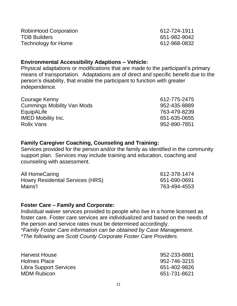| RobinHood Corporation | 612-724-1911 |
|-----------------------|--------------|
| <b>TDB Builders</b>   | 651-982-9042 |
| Technology for Home   | 612-968-0832 |

#### **Environmental Accessibility Adaptions – Vehicle:**

Physical adaptations or modifications that are made to the participant's primary means of transportation. Adaptations are of direct and specific benefit due to the person's disability, that enable the participant to function with greater independence.

| Courage Kenny                     | 612-775-2475 |
|-----------------------------------|--------------|
| <b>Cummings Mobility Van Mods</b> | 952-435-8889 |
| EquipALife                        | 763-479-8239 |
| <b>IMED Mobility Inc.</b>         | 651-635-0655 |
| <b>Rollx Vans</b>                 | 952-890-7851 |
|                                   |              |

#### **Family Caregiver Coaching, Counseling and Training:**

Services provided for the person and/or the family as identified in the community support plan. Services may include training and education, coaching and counseling with assessment.

| All HomeCaring                   | 612-378-1474 |  |
|----------------------------------|--------------|--|
| Howry Residential Services (HRS) | 651-690-0691 |  |
| Mains'l                          | 763-494-4553 |  |

#### **Foster Care – Family and Corporate:**

Individual waiver services provided to people who live in a home licensed as foster care. Foster care services are individualized and based on the needs of the person and service rates must be determined accordingly. *\*Family Foster Care information can be obtained by Case Management.*

*\*The following are Scott County Corporate Foster Care Providers.*

| Harvest House          | 952-233-8881 |
|------------------------|--------------|
| Holmes Place           | 952-746-3215 |
| Libra Support Services | 651-402-9826 |
| <b>MDM Rubicon</b>     | 651-731-8621 |
|                        |              |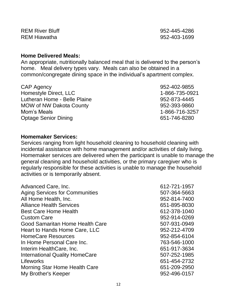REM River Bluff 2008 2009 2012 2020 2030 2041 2052-445-4286 REM Hiawatha 952-403-1699

#### **Home Delivered Meals:**

An appropriate, nutritionally balanced meal that is delivered to the person's home. Meal delivery types vary. Meals can also be obtained in a common/congregate dining space in the individual's apartment complex.

CAP Agency 952-402-9855 Homestyle Direct, LLC 1-866-735-0921 Lutheran Home - Belle Plaine 1992-873-4445 MOW of NW Dakota County **1952-393-9860** Mom's Meals 1-866-716-3257 Optage Senior Dining **651-746-8280** 

**Homemaker Services:**

Services ranging from light household cleaning to household cleaning with incidental assistance with home management and/or activities of daily living. Homemaker services are delivered when the participant is unable to manage the general cleaning and household activities, or the primary caregiver who is regularly responsible for these activities is unable to manage the household activities or is temporarily absent.

| Advanced Care, Inc.                   | 612-721-1957 |
|---------------------------------------|--------------|
| <b>Aging Services for Communities</b> | 507-364-5663 |
| All Home Health, Inc.                 | 952-814-7400 |
| <b>Alliance Health Services</b>       | 651-895-8030 |
| <b>Best Care Home Health</b>          | 612-378-1040 |
| <b>Custom Care</b>                    | 952-914-0269 |
| Good Samaritan Home Health Care       | 507-931-0949 |
| Heart to Hands Home Care, LLC         | 952-212-4709 |
| <b>HomeCare Resources</b>             | 952-854-6104 |
| In Home Personal Care Inc.            | 763-546-1000 |
| Interim HealthCare, Inc.              | 651-917-3634 |
| <b>International Quality HomeCare</b> | 507-252-1985 |
| Lifeworks                             | 651-454-2732 |
| Morning Star Home Health Care         | 651-209-2950 |
| My Brother's Keeper                   | 952-496-0157 |
|                                       |              |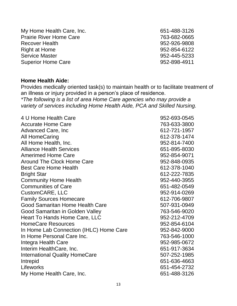My Home Health Care, Inc. 651-488-3126 Prairie River Home Care **1988** 1999 12:33 12:44 12:53 12:53 12:53 12:53 12:53 12:53 12:53 12:53 12:53 12:53 12:53 12:53 12:53 12:53 12:53 12:53 12:53 12:53 12:53 12:53 12:53 12:53 12:53 12:53 12:53 12:53 12:53 12:53 12:53 Recover Health 1952-926-9808 Right at Home 952-854-6122 Service Master 2008 2009 12:00 12:00 12:00 12:00 12:00 12:00 12:00 12:00 12:00 12:00 12:00 12:00 12:00 12:00 1 Superior Home Care **952-898-4911** 

#### **Home Health Aide:**

Provides medically oriented task(s) to maintain health or to facilitate treatment of an illness or injury provided in a person's place of residence.

*\*The following is a list of area Home Care agencies who may provide a variety of services including Home Health Aide, PCA and Skilled Nursing.*

| 4 U Home Health Care                    | 952-693-0545 |
|-----------------------------------------|--------------|
| <b>Accurate Home Care</b>               | 763-633-3800 |
| Advanced Care, Inc.                     | 612-721-1957 |
| <b>All HomeCaring</b>                   | 612-378-1474 |
| All Home Health, Inc.                   | 952-814-7400 |
| <b>Alliance Health Services</b>         | 651-895-8030 |
| <b>Amerimed Home Care</b>               | 952-854-9071 |
| <b>Around The Clock Home Care</b>       | 952-848-0935 |
| <b>Best Care Home Health</b>            | 612-378-1040 |
| <b>Bright Star</b>                      | 612-222-7835 |
| <b>Community Home Health</b>            | 952-440-3955 |
| <b>Communities of Care</b>              | 651-482-0549 |
| CustomCARE, LLC                         | 952-914-0269 |
| <b>Family Sources Homecare</b>          | 612-706-9807 |
| Good Samaritan Home Health Care         | 507-931-0949 |
| Good Samaritan in Golden Valley         | 763-546-9020 |
| Heart To Hands Home Care, LLC           | 952-212-4709 |
| <b>HomeCare Resources</b>               | 952-854-6104 |
| In Home Lab Connection (IHLC) Home Care | 952-842-9000 |
| In Home Personal Care Inc.              | 763-546-1000 |
| Integra Health Care                     | 952-985-0672 |
| Interim HealthCare, Inc.                | 651-917-3634 |
| <b>International Quality HomeCare</b>   | 507-252-1985 |
| Intrepid                                | 651-636-4663 |
| Lifeworks                               | 651-454-2732 |
| My Home Health Care, Inc.               | 651-488-3126 |
|                                         |              |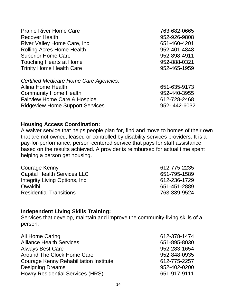| <b>Prairie River Home Care</b>                                                                              | 763-682-0665                 |
|-------------------------------------------------------------------------------------------------------------|------------------------------|
| <b>Recover Health</b>                                                                                       | 952-926-9808                 |
| River Valley Home Care, Inc.                                                                                | 651-460-4201                 |
| <b>Rolling Acres Home Health</b>                                                                            | 952-401-4848                 |
| <b>Superior Home Care</b>                                                                                   | 952-898-4911                 |
| <b>Touching Hearts at Home</b><br><b>Trinity Home Health Care</b><br>Certified Medicare Home Care Agencies: | 952-888-0321<br>952-465-1959 |
| Allina Home Health                                                                                          | 651-635-9173                 |
| <b>Community Home Health</b>                                                                                | 952-440-3955                 |
| <b>Fairview Home Care &amp; Hospice</b>                                                                     | 612-728-2468                 |
| <b>Ridgeview Home Support Services</b>                                                                      | 952-442-6032                 |

#### **Housing Access Coordination:**

A waiver service that helps people plan for, find and move to homes of their own that are not owned, leased or controlled by disability services providers. It is a pay-for-performance, person-centered service that pays for staff assistance based on the results achieved. A provider is reimbursed for actual time spent helping a person get housing.

| 612-775-2235 |
|--------------|
| 651-795-1589 |
| 612-236-1729 |
| 651-451-2889 |
| 763-339-9524 |
|              |

#### **Independent Living Skills Training:**

Services that develop, maintain and improve the community-living skills of a person.

| All Home Caring                               | 612-378-1474 |
|-----------------------------------------------|--------------|
| <b>Alliance Health Services</b>               | 651-895-8030 |
| <b>Always Best Care</b>                       | 952-283-1654 |
| Around The Clock Home Care                    | 952-848-0935 |
| <b>Courage Kenny Rehabilitation Institute</b> | 612-775-2257 |
| <b>Designing Dreams</b>                       | 952-402-0200 |
| <b>Howry Residential Services (HRS)</b>       | 651-917-9111 |
|                                               |              |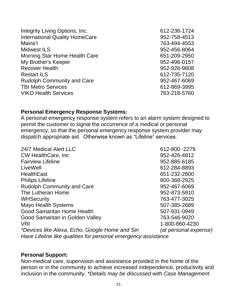| Integrity Living Options, Inc.        | 612-236-1724 |
|---------------------------------------|--------------|
| <b>International Quality HomeCare</b> | 952-758-4513 |
| Mains'l                               | 763-494-4553 |
| <b>Midwest ILS</b>                    | 952-456-8064 |
| Morning Star Home Health Care         | 651-209-2950 |
| My Brother's Keeper                   | 952-496-0157 |
| <b>Recover Health</b>                 | 952-926-9808 |
| <b>Restart ILS</b>                    | 612-735-7120 |
| <b>Rudolph Community and Care</b>     | 952-467-6069 |
| <b>TBI Metro Services</b>             | 612-869-3995 |
| <b>VIKO Health Services</b>           | 763-218-5760 |

#### **Personal Emergency Response Systems:**

A personal emergency response system refers to an alarm system designed to permit the customer to signal the occurrence of a medical or personal emergency, so that the personal emergency response system provider may dispatch appropriate aid. Otherwise known as "Lifeline" services.

| 24/7 Medical Alert LLC                                         | 612-800 -2279         |
|----------------------------------------------------------------|-----------------------|
| <b>CW HealthCare, Inc.</b>                                     | 952-426-4812          |
| <b>Fairview Lifeline</b>                                       | 952-885-6185          |
| LiveWell                                                       | 612-284-8893          |
| <b>HealthEast</b>                                              | 651-232-2800          |
| <b>Philips Lifeline</b>                                        | 800-368-2925          |
| <b>Rudolph Community and Care</b>                              | 952-467-6069          |
| The Lutheran Home                                              | 952-873-5910          |
| <b>WHSecurity</b>                                              | 763-477-3025          |
| <b>Mayo Health Systems</b>                                     | 507-385-2689          |
| <b>Good Samaritan Home Health</b>                              | 507-931-0949          |
| Good Samaritan in Golden Valley                                | 763-546-9020          |
| <b>VRI</b>                                                     | 1-800-860-4230        |
| *Devices like Alexa, Echo, Google Home and Siri                | (at personal expense) |
| Have Lifeline like qualities for personal emergency assistance |                       |

#### **Personal Support:**

Non-medical care, supervision and assistance provided in the home of the person or in the community to achieve increased independence, productivity and inclusion in the community. *\*Details may be discussed with Case Management.*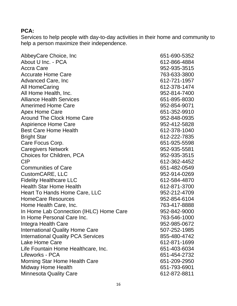#### **PCA:**

Services to help people with day-to-day activities in their home and community to help a person maximize their independence.

AbbeyCare Choice, Inc 651-690-5352 About U Inc. - PCA 612-866-4884 Accra Care **952-935-3515** Accurate Home Care **1988** 2008 12:00 12:00 12:00 12:00 12:00 12:00 12:00 12:00 12:00 12:00 12:00 12:00 12:00 12:00 12:00 12:00 12:00 12:00 12:00 12:00 12:00 12:00 12:00 12:00 12:00 12:00 12:00 12:00 12:00 12:00 12:00 12:00 Advanced Care, Inc 612-721-1957 All HomeCaring 612-378-1474 All Home Health, Inc. 952-814-7400 Alliance Health Services 651-895-8030 Amerimed Home Care **952-854-9071** Apex Home Care 651-352-9910 Around The Clock Home Care **952-848-0935** Aspirience Home Care **12.12-5828** Aspirience Home Care Best Care Home Health 612-378-1040 Bright Star 612-222-7835 Care Focus Corp. **651-925-5598** Caregivers Network 2008 2012 12:00 12:00 12:00 12:00 12:00 12:00 12:00 12:00 12:00 12:00 12:00 12:00 12:00 12:0 Choices for Children, PCA 952-935-3515 CIP 612-362-4452 Communities of Care 651-482-0549 CustomCARE, LLC 952-914-0269 Fidelity Healthcare LLC 612-584-4870 Health Star Home Health 612-871-3700 Heart To Hands Home Care, LLC 6 and 1952-212-4709 HomeCare Resources and the control of the 1952-854-6104 Home Health Care, Inc. **Fig. 1.1. 1.1. 1.1. 1.1. 1.1. 1.1. 1.1.** 763-417-8888 In Home Lab Connection (IHLC) Home Care 952-842-9000 In Home Personal Care Inc. 763-546-1000 Integra Health Care **1952-985-0672** International Quality Home Care 507-252-1985 International Quality PCA Services 855-480-4742 Lake Home Care 612-871-1699 Life Fountain Home Healthcare, Inc. 651-403-6034 Lifeworks - PCA 651-454-2732 Morning Star Home Health Care 651-209-2950 Midway Home Health 651-793-6901 Minnesota Quality Care 612-872-8811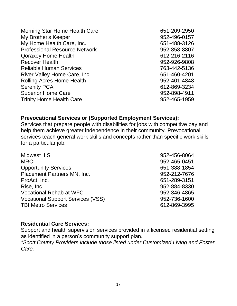| 651-209-2950 |
|--------------|
| 952-496-0157 |
| 651-488-3126 |
| 952-858-8807 |
| 612-216-2116 |
| 952-926-9808 |
| 763-442-5136 |
| 651-460-4201 |
| 952-401-4848 |
| 612-869-3234 |
| 952-898-4911 |
| 952-465-1959 |
|              |

#### **Prevocational Services or (Supported Employment Services):**

Services that prepare people with disabilities for jobs with competitive pay and help them achieve greater independence in their community. Prevocational services teach general work skills and concepts rather than specific work skills for a particular job.

| <b>Midwest ILS</b>                       | 952-456-8064 |
|------------------------------------------|--------------|
| <b>MRCI</b>                              | 952-465-0451 |
| <b>Opportunity Services</b>              | 651-388-1854 |
| Placement Partners MN, Inc.              | 952-212-7676 |
| ProAct, Inc.                             | 651-289-3151 |
| Rise, Inc.                               | 952-884-8330 |
| <b>Vocational Rehab at WFC</b>           | 952-346-4865 |
| <b>Vocational Support Services (VSS)</b> | 952-736-1600 |
| <b>TBI Metro Services</b>                | 612-869-3995 |

#### **Residential Care Services:**

Support and health supervision services provided in a licensed residential setting as identified in a person's community support plan.

*\*Scott County Providers include those listed under Customized Living and Foster Care.*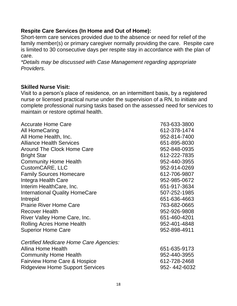#### **Respite Care Services (In Home and Out of Home):**

Short-term care services provided due to the absence or need for relief of the family member(s) or primary caregiver normally providing the care. Respite care is limited to 30 consecutive days per respite stay in accordance with the plan of care.

*\*Details may be discussed with Case Management regarding appropriate Providers.*

#### **Skilled Nurse Visit:**

Visit to a person's place of residence, on an intermittent basis, by a registered nurse or licensed practical nurse under the supervision of a RN, to initiate and complete professional nursing tasks based on the assessed need for services to maintain or restore optimal health.

| <b>Accurate Home Care</b>               | 763-633-3800 |
|-----------------------------------------|--------------|
| <b>All HomeCaring</b>                   | 612-378-1474 |
| All Home Health, Inc.                   | 952-814-7400 |
| <b>Alliance Health Services</b>         | 651-895-8030 |
| <b>Around The Clock Home Care</b>       | 952-848-0935 |
| <b>Bright Star</b>                      | 612-222-7835 |
| <b>Community Home Health</b>            | 952-440-3955 |
| CustomCARE, LLC                         | 952-914-0269 |
| <b>Family Sources Homecare</b>          | 612-706-9807 |
| Integra Health Care                     | 952-985-0672 |
| Interim HealthCare, Inc.                | 651-917-3634 |
| <b>International Quality HomeCare</b>   | 507-252-1985 |
| Intrepid                                | 651-636-4663 |
| <b>Prairie River Home Care</b>          | 763-682-0665 |
| <b>Recover Health</b>                   | 952-926-9808 |
| River Valley Home Care, Inc.            | 651-460-4201 |
| <b>Rolling Acres Home Health</b>        | 952-401-4848 |
| <b>Superior Home Care</b>               | 952-898-4911 |
| Certified Medicare Home Care Agencies:  |              |
| <b>Allina Home Health</b>               | 651-635-9173 |
| <b>Community Home Health</b>            | 952-440-3955 |
| <b>Fairview Home Care &amp; Hospice</b> | 612-728-2468 |
| <b>Ridgeview Home Support Services</b>  | 952-442-6032 |
|                                         |              |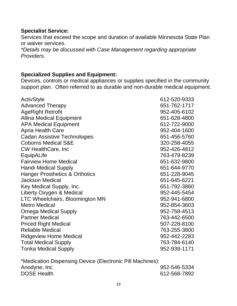#### **Specialist Service:**

Services that exceed the scope and duration of available Minnesota State Plan or waiver services.

*\*Details may be discussed with Case Management regarding appropriate Providers.*

#### **Specialized Supplies and Equipment:**

Devices, controls or medical appliances or supplies specified in the community support plan. Often referred to as durable and non-durable medical equipment.

| <b>Advanced Therapy</b><br><b>AgeRight Retrofit</b><br><b>Allina Medical Equipment</b><br><b>APA Medical Equipment</b><br><b>Apria Health Care</b><br><b>Cadan Assistive Technologies</b><br><b>Coborns Medical S&amp;E</b><br><b>CW HealthCare, Inc.</b><br>EquipALife<br><b>Fairview Home Medical</b><br><b>Handi Medical Supply</b><br>Hanger Prosthetics & Orthotics<br><b>Jackson Medical</b><br>Key Medical Supply, Inc.<br>Liberty Oxygen & Medical<br>LTC Wheelchairs, Bloomington MN<br><b>Metro Medical</b><br><b>Omega Medical Supply</b><br><b>Partner Medical</b><br><b>Priced Right Medical</b><br><b>Reliable Medical</b><br><b>Ridgeview Home Medical</b><br><b>Total Medical Supply</b> | <b>ActivStyle</b>           | 612-520-9333 |
|----------------------------------------------------------------------------------------------------------------------------------------------------------------------------------------------------------------------------------------------------------------------------------------------------------------------------------------------------------------------------------------------------------------------------------------------------------------------------------------------------------------------------------------------------------------------------------------------------------------------------------------------------------------------------------------------------------|-----------------------------|--------------|
|                                                                                                                                                                                                                                                                                                                                                                                                                                                                                                                                                                                                                                                                                                          |                             | 651-762-1717 |
|                                                                                                                                                                                                                                                                                                                                                                                                                                                                                                                                                                                                                                                                                                          |                             | 952-405-6102 |
|                                                                                                                                                                                                                                                                                                                                                                                                                                                                                                                                                                                                                                                                                                          |                             | 651-628-4800 |
|                                                                                                                                                                                                                                                                                                                                                                                                                                                                                                                                                                                                                                                                                                          |                             | 612-722-9000 |
|                                                                                                                                                                                                                                                                                                                                                                                                                                                                                                                                                                                                                                                                                                          |                             | 952-404-1600 |
|                                                                                                                                                                                                                                                                                                                                                                                                                                                                                                                                                                                                                                                                                                          |                             | 651-456-5760 |
|                                                                                                                                                                                                                                                                                                                                                                                                                                                                                                                                                                                                                                                                                                          |                             | 320-258-4055 |
|                                                                                                                                                                                                                                                                                                                                                                                                                                                                                                                                                                                                                                                                                                          |                             | 952-426-4812 |
|                                                                                                                                                                                                                                                                                                                                                                                                                                                                                                                                                                                                                                                                                                          |                             | 763-479-8239 |
|                                                                                                                                                                                                                                                                                                                                                                                                                                                                                                                                                                                                                                                                                                          |                             | 651-632-9800 |
|                                                                                                                                                                                                                                                                                                                                                                                                                                                                                                                                                                                                                                                                                                          |                             | 651-644-9770 |
|                                                                                                                                                                                                                                                                                                                                                                                                                                                                                                                                                                                                                                                                                                          |                             | 651-228-9045 |
|                                                                                                                                                                                                                                                                                                                                                                                                                                                                                                                                                                                                                                                                                                          |                             | 651-645-6221 |
|                                                                                                                                                                                                                                                                                                                                                                                                                                                                                                                                                                                                                                                                                                          |                             | 651-792-3860 |
|                                                                                                                                                                                                                                                                                                                                                                                                                                                                                                                                                                                                                                                                                                          |                             | 952-445-5454 |
|                                                                                                                                                                                                                                                                                                                                                                                                                                                                                                                                                                                                                                                                                                          |                             | 952-941-6800 |
|                                                                                                                                                                                                                                                                                                                                                                                                                                                                                                                                                                                                                                                                                                          |                             | 952-854-3603 |
|                                                                                                                                                                                                                                                                                                                                                                                                                                                                                                                                                                                                                                                                                                          |                             | 952-758-4513 |
|                                                                                                                                                                                                                                                                                                                                                                                                                                                                                                                                                                                                                                                                                                          |                             | 763-442-6500 |
|                                                                                                                                                                                                                                                                                                                                                                                                                                                                                                                                                                                                                                                                                                          |                             | 507-228-8100 |
|                                                                                                                                                                                                                                                                                                                                                                                                                                                                                                                                                                                                                                                                                                          |                             | 763-255-3800 |
|                                                                                                                                                                                                                                                                                                                                                                                                                                                                                                                                                                                                                                                                                                          |                             | 952-442-2283 |
|                                                                                                                                                                                                                                                                                                                                                                                                                                                                                                                                                                                                                                                                                                          |                             | 763-784-6140 |
|                                                                                                                                                                                                                                                                                                                                                                                                                                                                                                                                                                                                                                                                                                          | <b>Tonka Medical Supply</b> | 952-939-1171 |

\*Medication Dispensing Device (Electronic Pill Machines): Anodyne, Inc 2008 2012 2022 2022 2034 2042 2052 2062 2073 2082 2093 2094 2095 2096 2097 2098 2097 20 DOSE Health 612-568-7892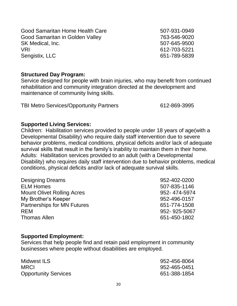Good Samaritan in Golden Valley 763-546-9020 SK Medical, Inc. 6507-645-9500 VRI 612-703-5221 Sengistix, LLC 651-789-5839

Good Samaritan Home Health Care 607-931-0949

#### **Structured Day Program:**

Service designed for people with brain injuries, who may benefit from continued rehabilitation and community integration directed at the development and maintenance of community living skills.

TBI Metro Services/Opportunity Partners 612-869-3995

#### **Supported Living Services:**

Children: Habilitation services provided to people under 18 years of age(with a Developmental Disability) who require daily staff intervention due to severe behavior problems, medical conditions, physical deficits and/or lack of adequate survival skills that result in the family's inability to maintain them in their home. Adults: Habilitation services provided to an adult (with a Developmental Disability) who requires daily staff intervention due to behavior problems, medical conditions, physical deficits and/or lack of adequate survival skills.

| <b>Designing Dreams</b>            | 952-402-0200 |
|------------------------------------|--------------|
| <b>ELM Homes</b>                   | 507-835-1146 |
| <b>Mount Olivet Rolling Acres</b>  | 952-474-5974 |
| My Brother's Keeper                | 952-496-0157 |
| <b>Partnerships for MN Futures</b> | 651-774-1508 |
| <b>REM</b>                         | 952-925-5067 |
| <b>Thomas Allen</b>                | 651-450-1802 |

#### **Supported Employment:**

Services that help people find and retain paid employment in community businesses where people without disabilities are employed.

| Midwest ILS                 | 952-456-8064 |
|-----------------------------|--------------|
| <b>MRCI</b>                 | 952-465-0451 |
| <b>Opportunity Services</b> | 651-388-1854 |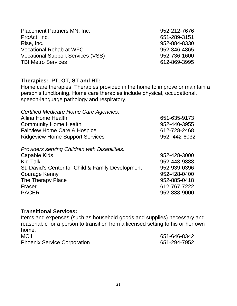| 952-212-7676 |
|--------------|
| 651-289-3151 |
| 952-884-8330 |
| 952-346-4865 |
| 952-736-1600 |
| 612-869-3995 |
|              |

#### **Therapies: PT, OT, ST and RT:**

Home care therapies: Therapies provided in the home to improve or maintain a person's functioning. Home care therapies include physical, occupational, speech-language pathology and respiratory.

| Certified Medicare Home Care Agencies:               |              |
|------------------------------------------------------|--------------|
| <b>Allina Home Health</b>                            | 651-635-9173 |
| <b>Community Home Health</b>                         | 952-440-3955 |
| <b>Fairview Home Care &amp; Hospice</b>              | 612-728-2468 |
| <b>Ridgeview Home Support Services</b>               | 952-442-6032 |
| <b>Providers serving Children with Disabilities:</b> |              |
| Capable Kids                                         | 952-428-3000 |
| <b>Kid Talk</b>                                      | 952-443-9888 |
| St. David's Center for Child & Family Development    | 952-939-0396 |
| Courage Kenny                                        | 952-428-0400 |
| The Therapy Place                                    | 952-885-0418 |
| Fraser                                               | 612-767-7222 |
| <b>PACER</b>                                         | 952-838-9000 |
|                                                      |              |

#### **Transitional Services:**

Items and expenses (such as household goods and supplies) necessary and reasonable for a person to transition from a licensed setting to his or her own home. MCIL 651-646-8342 Phoenix Service Corporation 651-294-7952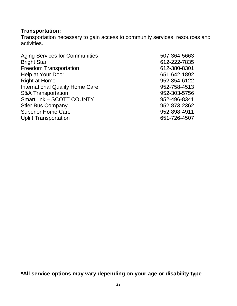# **Transportation:**

Transportation necessary to gain access to community services, resources and activities.

| <b>Aging Services for Communities</b>  | 507-364-5663 |
|----------------------------------------|--------------|
| <b>Bright Star</b>                     | 612-222-7835 |
| <b>Freedom Transportation</b>          | 612-380-8301 |
| Help at Your Door                      | 651-642-1892 |
| <b>Right at Home</b>                   | 952-854-6122 |
| <b>International Quality Home Care</b> | 952-758-4513 |
| <b>S&amp;A Transportation</b>          | 952-303-5756 |
| SmartLink - SCOTT COUNTY               | 952-496-8341 |
| <b>Stier Bus Company</b>               | 952-873-2362 |
| <b>Superior Home Care</b>              | 952-898-4911 |
| <b>Uplift Transportation</b>           | 651-726-4507 |

**\*All service options may vary depending on your age or disability type**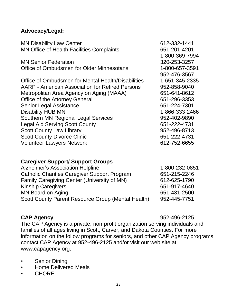#### **Advocacy/Legal:**

| <b>MN Disability Law Center</b>                    | 612-332-1441   |
|----------------------------------------------------|----------------|
| <b>MN Office of Health Facilities Complaints</b>   | 651-201-4201   |
|                                                    | 1-800-369-7994 |
| <b>MN Senior Federation</b>                        | 320-253-3257   |
| Office of Ombudsmen for Older Minnesotans          | 1-800-657-3591 |
|                                                    | 952-476-3567   |
| Office of Ombudsmen for Mental Health/Disabilities | 1-651-345-2335 |
| AARP - American Association for Retired Persons    | 952-858-9040   |
| Metropolitan Area Agency on Aging (MAAA)           | 651-641-8612   |
| <b>Office of the Attorney General</b>              | 651-296-3353   |
| Senior Legal Assistance                            | 651-224-7301   |
| <b>Disability HUB MN</b>                           | 1-866-333-2466 |
| <b>Southern MN Regional Legal Services</b>         | 952-402-9890   |
| <b>Legal Aid Serving Scott County</b>              | 651-222-4731   |
| <b>Scott County Law Library</b>                    | 952-496-8713   |
| <b>Scott County Divorce Clinic</b>                 | 651-222-4731   |
| <b>Volunteer Lawyers Network</b>                   | 612-752-6655   |
|                                                    |                |

#### **Caregiver Support/ Support Groups**

| 1-800-232-0851 |
|----------------|
| 651-215-2246   |
| 612-625-1790   |
| 651-917-4640   |
| 651-431-2500   |
| 952-445-7751   |
|                |

#### **CAP Agency** 952-496-2125

The CAP Agency is a private, non-profit organization serving individuals and families of all ages living in Scott, Carver, and Dakota Counties. For more information on the follow programs for seniors, and other CAP Agency programs, contact CAP Agency at 952-496-2125 and/or visit our web site at www.capagency.org.

- Senior Dining
- Home Delivered Meals
- CHORE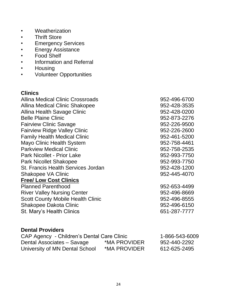- Weatherization
- Thrift Store
- Emergency Services
- Energy Assistance
- Food Shelf
- Information and Referral
- Housing
- Volunteer Opportunities

#### **Clinics**

| Allina Medical Clinic Crossroads          | 952-496-6700 |
|-------------------------------------------|--------------|
|                                           |              |
| <b>Allina Medical Clinic Shakopee</b>     | 952-428-3535 |
| Allina Health Savage Clinic               | 952-428-0200 |
| <b>Belle Plaine Clinic</b>                | 952-873-2276 |
| <b>Fairview Clinic Savage</b>             | 952-226-9500 |
| <b>Fairview Ridge Valley Clinic</b>       | 952-226-2600 |
| <b>Family Health Medical Clinic</b>       | 952-461-5200 |
| Mayo Clinic Health System                 | 952-758-4461 |
| <b>Parkview Medical Clinic</b>            | 952-758-2535 |
| <b>Park Nicollet - Prior Lake</b>         | 952-993-7750 |
| <b>Park Nicollet Shakopee</b>             | 952-993-7750 |
| <b>St. Francis Health Services Jordan</b> | 952-428-1200 |
| <b>Shakopee VA Clinic</b>                 | 952-445-4070 |
| <b>Free/ Low Cost Clinics</b>             |              |
| <b>Planned Parenthood</b>                 | 952-653-4499 |
| <b>River Valley Nursing Center</b>        | 952-496-8669 |
| <b>Scott County Mobile Health Clinic</b>  | 952-496-8555 |
| <b>Shakopee Dakota Clinic</b>             | 952-496-6150 |
| St. Mary's Health Clinics                 | 651-287-7777 |
|                                           |              |
| <b>Dental Providers</b>                   |              |

#### CAP Agency - Children's Dental Care Clinic 1-866-543-6009 Dental Associates – Savage \*MA PROVIDER 952-440-2292 University of MN Dental School \*MA PROVIDER 612-625-2495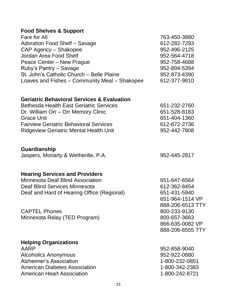#### **Food Shelves & Support**

| Fare for All                                  | 763-450-3880 |
|-----------------------------------------------|--------------|
| Adoration Food Shelf - Savage                 | 612-282-7293 |
| CAP Agency - Shakopee                         | 952-496-2125 |
| Jordan Area Food Shelf                        | 952-564-4718 |
| Peace Center – New Prague                     | 952-758-4688 |
| Ruby's Pantry - Savage                        | 952-894-5394 |
| St. John's Catholic Church - Belle Plaine     | 952-873-4390 |
| Loaves and Fishes - Community Meal - Shakopee | 612-377-9810 |
|                                               |              |

#### **Geriatric Behavioral Services & Evaluation**

| 651-232-2760 |
|--------------|
| 651-528-8183 |
| 651-404-1360 |
| 612-672-2736 |
| 952-442-7808 |
|              |

#### **Guardianship**

Jaspers, Moriarty & Wetherille, P.A. 61 and 1952-445-2817

#### **Hearing Services and Providers**

| <b>Minnesota Deaf Blind Association</b>    |
|--------------------------------------------|
| Deaf Blind Services Minnesota              |
| Deaf and Hard of Hearing Office (Regional) |

CAPTEL Phones 800-233-9130 Minnesota Relay (TED Program) 800-657-3663

#### **Helping Organizations**

AARP 952-858-9040 Alcoholics Anonymous **1952-922-0880** Alzheimer's Association **1-800-232-0851** American Diabetes Association 1-800-342-2383 American Heart Association 1-800-242-8721

651-647-6564 612-362-8454 651-431-5940 651-964-1514 VP 888-206-6513 TTY 866-635-0082 VP 888-206-6555 TTY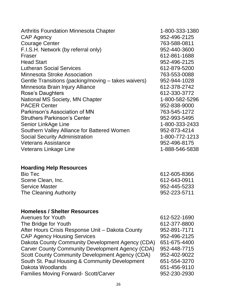| <b>Arthritis Foundation Minnesota Chapter</b><br><b>CAP Agency</b> | 1-800-333-1380<br>952-496-2125 |
|--------------------------------------------------------------------|--------------------------------|
| <b>Courage Center</b>                                              | 763-588-0811                   |
| F.I.S.H. Network (by referral only)                                | 952-440-3600                   |
| Fraser                                                             | 612-861-1688                   |
| <b>Head Start</b>                                                  | 952-496-2125                   |
| <b>Lutheran Social Services</b>                                    | 612-879-5200                   |
| <b>Minnesota Stroke Association</b>                                | 763-553-0088                   |
| Gentle Transitions (packing/moving – takes waivers)                | 952-944-1028                   |
| Minnesota Brain Injury Alliance                                    | 612-378-2742                   |
| <b>Rose's Daughters</b>                                            | 612-330-3772                   |
| National MS Society, MN Chapter                                    | 1-800-582-5296                 |
| <b>PACER Center</b>                                                | 952-838-9000                   |
| Parkinson's Association of MN                                      | 763-545-1272                   |
| <b>Struthers Parkinson's Center</b>                                | 952-993-5495                   |
| Senior LinkAge Line                                                | 1-800-333-2433                 |
| Southern Valley Alliance for Battered Women                        | 952-873-4214                   |
| <b>Social Security Administration</b>                              | 1-800-772-1213                 |
| <b>Veterans Assistance</b>                                         | 952-496-8175                   |
| Veterans Linkage Line                                              | 1-888-546-5838                 |
|                                                                    |                                |

# **Hoarding Help Resources**

| 612-605-8366 |
|--------------|
| 612-643-0911 |
| 952-445-5233 |
| 952-223-5711 |
|              |

# **Homeless / Shelter Resources**

| 612-522-1690 |
|--------------|
| 612-377-8800 |
| 952-891-7171 |
| 952-496-2125 |
| 651-675-4400 |
| 952-448-7715 |
| 952-402-9022 |
| 651-554-3270 |
| 651-456-9110 |
| 952-230-2930 |
|              |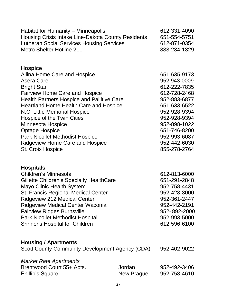| Habitat for Humanity - Minneapolis<br>Housing Crisis Intake Line-Dakota County Residents<br><b>Lutheran Social Services Housing Services</b><br><b>Metro Shelter Hotline 211</b>                                                                                                                                                                                                                                                                       |                      | 612-331-4090<br>651-554-5751<br>612-871-0354<br>888-234-1329                                                                                                                                                 |
|--------------------------------------------------------------------------------------------------------------------------------------------------------------------------------------------------------------------------------------------------------------------------------------------------------------------------------------------------------------------------------------------------------------------------------------------------------|----------------------|--------------------------------------------------------------------------------------------------------------------------------------------------------------------------------------------------------------|
| <b>Hospice</b><br>Allina Home Care and Hospice<br>Asera Care<br><b>Bright Star</b><br><b>Fairview Home Care and Hospice</b><br><b>Health Partners Hospice and Pallitive Care</b><br><b>Heartland Home Health Care and Hospice</b><br>N.C. Little Memorial Hospice<br>Hospice of the Twin Cities<br>Minnesota Hospice<br><b>Optage Hospice</b><br><b>Park Nicollet Methodist Hospice</b><br><b>Ridgeview Home Care and Hospice</b><br>St. Croix Hospice |                      | 651-635-9173<br>952 943-0009<br>612-222-7835<br>612-728-2468<br>952-883-6877<br>651-633-6522<br>952-928-9394<br>952-928-9394<br>952-898-1022<br>651-746-8200<br>952-993-6087<br>952-442-6030<br>855-278-2764 |
| <b>Hospitals</b><br>Children's Minnesota<br>Gillette Children's Specialty HealthCare<br>Mayo Clinic Health System<br>St. Francis Regional Medical Center<br><b>Ridgeview 212 Medical Center</b><br><b>Ridgeview Medical Center Waconia</b><br><b>Fairview Ridges Burnsville</b><br><b>Park Nicollet Methodist Hospital</b><br><b>Shriner's Hospital for Children</b>                                                                                   |                      | 612-813-6000<br>651-291-2848<br>952-758-4431<br>952-428-3000<br>952-361-2447<br>952-442-2191<br>952-892-2000<br>952-993-5000<br>612-596-6100                                                                 |
| <b>Housing / Apartments</b><br><b>Scott County Community Development Agency (CDA)</b>                                                                                                                                                                                                                                                                                                                                                                  |                      | 952-402-9022                                                                                                                                                                                                 |
| <b>Market Rate Apartments</b><br>Brentwood Court 55+ Apts.<br><b>Phillip's Square</b>                                                                                                                                                                                                                                                                                                                                                                  | Jordan<br>New Prague | 952-492-3406<br>952-758-4610                                                                                                                                                                                 |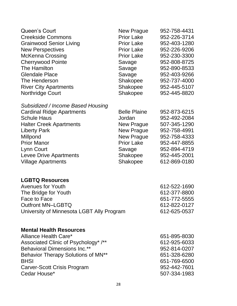| <b>Queen's Court</b><br><b>Creekside Commons</b><br><b>Grainwood Senior Living</b><br><b>New Perspectives</b><br><b>McKenna Crossing</b><br><b>Cherrywood Pointe</b><br>The Hamilton<br><b>Glendale Place</b><br>The Henderson<br><b>River City Apartments</b><br><b>Northridge Court</b> | New Prague<br><b>Prior Lake</b><br><b>Prior Lake</b><br><b>Prior Lake</b><br><b>Prior Lake</b><br>Savage<br>Savage<br>Savage<br>Shakopee<br>Shakopee<br><b>Shakopee</b> | 952-758-4431<br>952-226-3714<br>952-403-1280<br>952-226-9206<br>952-230-3300<br>952-808-8725<br>952-890-8533<br>952-403-9266<br>952-737-4000<br>952-445-5107<br>952-445-8820 |
|-------------------------------------------------------------------------------------------------------------------------------------------------------------------------------------------------------------------------------------------------------------------------------------------|-------------------------------------------------------------------------------------------------------------------------------------------------------------------------|------------------------------------------------------------------------------------------------------------------------------------------------------------------------------|
| Subsidized / Income Based Housing<br><b>Cardinal Ridge Apartments</b><br><b>Schule Haus</b><br><b>Halter Creek Apartments</b><br><b>Liberty Park</b><br>Millpond<br><b>Prior Manor</b><br>Lynn Court<br>Levee Drive Apartments<br><b>Village Apartments</b>                               | <b>Belle Plaine</b><br>Jordan<br><b>New Prague</b><br><b>New Prague</b><br><b>New Prague</b><br><b>Prior Lake</b><br>Savage<br>Shakopee<br>Shakopee                     | 952-873-6215<br>952-492-2084<br>507-345-1290<br>952-758-4991<br>952-758-4333<br>952-447-8855<br>952-894-4719<br>952-445-2001<br>612-869-0180                                 |
| <b>LGBTQ Resources</b><br><b>Avenues for Youth</b><br>The Bridge for Youth<br>Face to Face<br><b>Outfront MN-LGBTQ</b><br>University of Minnesota LGBT Ally Program                                                                                                                       |                                                                                                                                                                         | 612-522-1690<br>612-377-8800<br>651-772-5555<br>612-822-0127<br>612-625-0537                                                                                                 |
| <b>Mental Health Resources</b><br>Alliance Health Care*<br>Associated Clinic of Psychology* /**<br><b>Behavioral Dimensions Inc.**</b><br>Behavior Therapy Solutions of MN <sup>**</sup><br><b>BHSI</b><br><b>Carver-Scott Crisis Program</b><br>Cedar House*                             |                                                                                                                                                                         | 651-895-8030<br>612-925-6033<br>952-814-0207<br>651-328-6280<br>651-769-6500<br>952-442-7601<br>507-334-1983                                                                 |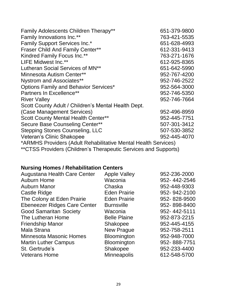| Family Adolescents Children Therapy**                           | 651-379-9800 |
|-----------------------------------------------------------------|--------------|
| <b>Family Innovations Inc.**</b>                                | 763-421-5535 |
| <b>Family Support Services Inc.*</b>                            | 651-628-4993 |
| <b>Fraser Child And Family Center**</b>                         | 612-331-9413 |
| <b>Kindred Family Focus Inc.**</b>                              | 763-271-1676 |
| LIFE Midwest Inc.**                                             | 612-925-8365 |
| Lutheran Social Services of MN <sup>**</sup>                    | 651-642-5990 |
| Minnesota Autism Center**                                       | 952-767-4200 |
| Nystrom and Associates**                                        | 952-746-2522 |
| <b>Options Family and Behavior Services*</b>                    | 952-564-3000 |
| Partners In Excellence**                                        | 952-746-5350 |
| <b>River Valley</b>                                             | 952-746-7664 |
| Scott County Adult / Children's Mental Health Dept.             |              |
| (Case Management Services)                                      | 952-496-8959 |
| <b>Scott County Mental Health Center**</b>                      | 952-445-7751 |
| Secure Base Counseling Center**                                 | 507-301-3412 |
| <b>Stepping Stones Counseling, LLC</b>                          | 507-530-3852 |
| Veteran's Clinic Shakopee                                       | 952-445-4070 |
| *ARMHS Providers (Adult Rehabilitative Mental Health Services)  |              |
| **CTSS Providers (Children's Therapeutic Services and Supports) |              |

# **Nursing Homes / Rehabilitation Centers**

| Augustana Health Care Center        | <b>Apple Valley</b> | 952-236-2000 |
|-------------------------------------|---------------------|--------------|
| <b>Auburn Home</b>                  | Waconia             | 952-442-2546 |
| <b>Auburn Manor</b>                 | Chaska              | 952-448-9303 |
| <b>Castle Ridge</b>                 | <b>Eden Prairie</b> | 952-942-2100 |
| The Colony at Eden Prairie          | <b>Eden Prairie</b> | 952-828-9500 |
| <b>Ebeneezer Ridges Care Center</b> | <b>Burnsville</b>   | 952-898-8400 |
| <b>Good Samaritan Society</b>       | Waconia             | 952-442-5111 |
| The Lutheran Home                   | <b>Belle Plaine</b> | 952-873-2215 |
| <b>Friendship Manor</b>             | Shakopee            | 952-445-4155 |
| <b>Mala Strana</b>                  | <b>New Prague</b>   | 952-758-2511 |
| <b>Minnesota Masonic Homes</b>      | Bloomington         | 952-948-7000 |
| <b>Martin Luther Campus</b>         | Bloomington         | 952-888-7751 |
| St. Gertrude's                      | Shakopee            | 952-233-4400 |
| <b>Veterans Home</b>                | <b>Minneapolis</b>  | 612-548-5700 |
|                                     |                     |              |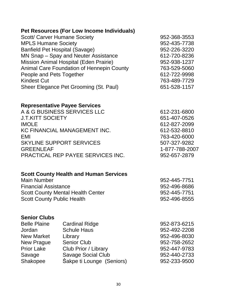# **Pet Resources (For Low Income Individuals)**

| Scott/ Carver Humane Society              | 952-368-3553 |
|-------------------------------------------|--------------|
| <b>MPLS Humane Society</b>                | 952-435-7738 |
| <b>Banfield Pet Hospital (Savage)</b>     | 952-226-3220 |
| MN Snap – Spay and Neuter Assistance      | 612-720-8236 |
| Mission Animal Hospital (Eden Prairie)    | 952-938-1237 |
| Animal Care Foundation of Hennepin County | 763-529-5060 |
| People and Pets Together                  | 612-722-9998 |
| <b>Kindest Cut</b>                        | 763-489-7729 |
| Sheer Elegance Pet Grooming (St. Paul)    | 651-528-1157 |
|                                           |              |

# **Representative Payee Services**

| A & G BUSINESS SERVICES LLC              | 612-231-6800   |
|------------------------------------------|----------------|
| <b>J.T.KITT SOCIETY</b>                  | 651-407-0526   |
| <b>IMOLE</b>                             | 612-827-2099   |
| KC FINANCIAL MANAGEMENT INC.             | 612-532-8810   |
| EMI                                      | 763-420-6000   |
| <b>SKYLINE SUPPORT SERVICES</b>          | 507-327-9282   |
| <b>GREENLEAF</b>                         | 1-877-788-2007 |
| <b>PRACTICAL REP PAYEE SERVICES INC.</b> | 952-657-2879   |
|                                          |                |

# **Scott County Health and Human Services**

| Main Number                              | 952-445-7751 |
|------------------------------------------|--------------|
| <b>Financial Assistance</b>              | 952-496-8686 |
| <b>Scott County Mental Health Center</b> | 952-445-7751 |
| <b>Scott County Public Health</b>        | 952-496-8555 |

#### **Senior Clubs**

| <b>Cardinal Ridge</b>     | 952-873-6215 |
|---------------------------|--------------|
| <b>Schule Haus</b>        | 952-492-2208 |
| Library                   | 952-496-8030 |
| <b>Senior Club</b>        | 952-758-2652 |
| Club Prior / Library      | 952-447-9783 |
| <b>Savage Social Club</b> | 952-440-2733 |
| Sakpe ti Lounge (Seniors) | 952-233-9500 |
|                           |              |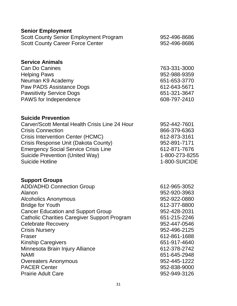| <b>Senior Employment</b><br><b>Scott County Senior Employment Program</b><br><b>Scott County Career Force Center</b>                                                                                                                                                                                                                                                                                                                                  | 952-496-8686<br>952-496-8686                                                                                                                                                                                                                 |
|-------------------------------------------------------------------------------------------------------------------------------------------------------------------------------------------------------------------------------------------------------------------------------------------------------------------------------------------------------------------------------------------------------------------------------------------------------|----------------------------------------------------------------------------------------------------------------------------------------------------------------------------------------------------------------------------------------------|
| <b>Service Animals</b><br><b>Can Do Canines</b><br><b>Helping Paws</b><br>Neuman K9 Academy<br>Paw PADS Assistance Dogs<br><b>Pawsitivity Service Dogs</b><br>PAWS for Independence                                                                                                                                                                                                                                                                   | 763-331-3000<br>952-988-9359<br>651-653-3770<br>612-643-5671<br>651-321-3647<br>608-797-2410                                                                                                                                                 |
| <b>Suicide Prevention</b><br>Carver/Scott Mental Health Crisis Line 24 Hour<br><b>Crisis Connection</b><br>Crisis Intervention Center (HCMC)<br>Crisis Response Unit (Dakota County)<br><b>Emergency Social Service Crisis Line</b><br><b>Suicide Prevention (United Way)</b><br><b>Suicide Hotline</b>                                                                                                                                               | 952-442-7601<br>866-379-6363<br>612-873-3161<br>952-891-7171<br>612-871-7676<br>1-800-273-8255<br>1-800-SUICIDE                                                                                                                              |
| <b>Support Groups</b><br><b>ADD/ADHD Connection Group</b><br>Alanon<br>Alcoholics Anonymous<br><b>Bridge for Youth</b><br><b>Cancer Education and Support Group</b><br><b>Catholic Charities Caregiver Support Program</b><br><b>Celebrate Recovery</b><br><b>Crisis Nursery</b><br>Fraser<br><b>Kinship Caregivers</b><br>Minnesota Brain Injury Alliance<br><b>NAMI</b><br>Overeaters Anonymous<br><b>PACER Center</b><br><b>Prairie Adult Care</b> | 612-965-3052<br>952-920-3963<br>952-922-0880<br>612-377-8800<br>952-428-2031<br>651-215-2246<br>952-447-0546<br>952-496-2125<br>612-861-1688<br>651-917-4640<br>612-378-2742<br>651-645-2948<br>952-445-1222<br>952-838-9000<br>952-949-3126 |